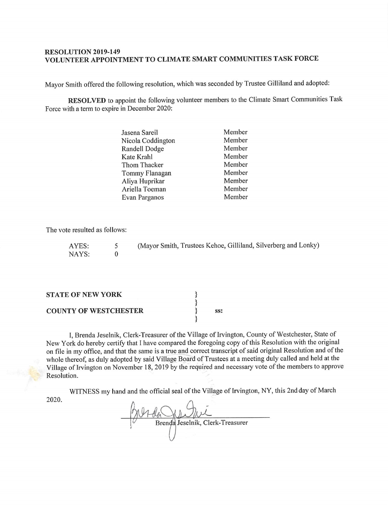#### RESOLUTION 2019-149 VOLUNTEER APPOINTMENT TO CLIMATE SMART COMMUNITIES TASK FORCE

Mayor Smith offered the following resolution, which was seconded by Trustee Gilliland and adopted:

RESOLVED to appoint the following volunteer members to the Climate Smart Communities Task Force with a term to expire in December 2020:

| Jasena Sareil     | Member |
|-------------------|--------|
| Nicola Coddington | Member |
| Randell Dodge     | Member |
| Kate Krahl        | Member |
| Thom Thacker      | Member |
| Tommy Flanagan    | Member |
| Aliya Huprikar    | Member |
| Ariella Toeman    | Member |
| Evan Parganos     | Member |

The vote resulted as follows:

| AYES: | (Mayor Smith, Trustees Kehoe, Gilliland, Silverberg and Lonky) |
|-------|----------------------------------------------------------------|
| NAYS: |                                                                |

| <b>STATE OF NEW YORK</b>     |  |
|------------------------------|--|
| <b>COUNTY OF WESTCHESTER</b> |  |

I, Brenda Jeselnik, Clerk-Treasurer of the Village of Irvington, County of Westchester, State of New York do hereby certify that I have compared the foregoing copy of this Resolution with the original on file in my office, and that the same is a true and correct transcript of said original Resolution and of the whole thereof, as duly adopted by said Village Board of Trustees at <sup>a</sup> meeting duly called and held at the Village of Irvington on November 18, 2019 by the required and necessary vote of the members to approve Resolution.

WITNESS my hand and the official seal of the Village of Irvington, NY, this 2nd day of March 2020.

Brenda Jeselnik, Clerk-Treasurer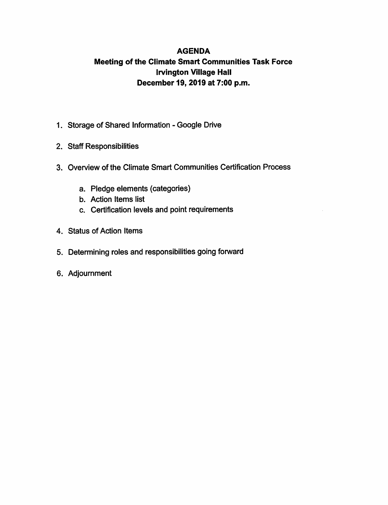#### AGENDA Meeting of the Climate Smart Communities Task Force Irvington Village Hall December 19, 2019 at 7:00 p.m.

- 1. Storage of Shared Information Google Drive
- 2. Staff Responsibilities
- 3. Overview of the Climate Smart Communities Certification Process
	- a. Pledge elements (categories)
	- b. Action Items list
	- c. Certification levels and point requirements
- 4. Status of Action Items
- 5. Determining roles and responsibilities going forward
- 6. Adjournment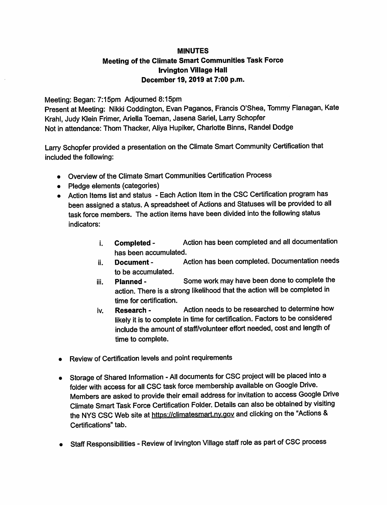#### MINUTES Meeting of the Climate Smart Communities Task Force Irvington Village Hall December 19, 2019 at 7:00 p.m.

Meeting: Began: 7:15pm Adjourned 8:15pm

Present at Meeting: Nikki Coddington, Evan Paganos, Francis O'Shea, Tommy Flanagan, Kate Krahl, Judy Klein Frimer, Ariella Toeman, Jasena Sariel, Larry Schopfer Not in attendance: Thom Thacker, Aliya Hupiker, Charlotte Binns, Randel Dodge

Larry Schopfer provided a presentation on the Climate Smart Community Certification that included the following:

- Overview of the Climate Smart Communities Certification Process
- Pledge elements (categories)
- Action Items list and status Each Action Item in the CSC Certification program has been assigned a status. A spreadsheet of Actions and Statuses will be provided to all task force members. The action items have been divided into the following status indicators:
	- i. **Completed -** Action has been completed and all documentation has been accumulated.
	- ii. Document Action has been completed. Documentation needs to be accumulated.
	- iii. Planned Some work may have been done to complete the action. There is a strong likelihood that the action will be completed in time for certification.
	- iv. Research Action needs to be researched to determine how likely it is to complete in time for certification. Factors to be considered include the amount of staff/volunteer effort needed, cost and length of time to complete.
- Review of Certification levels and point requirements
- Storage of Shared Information All documents for CSC project will be placed into a folder with access for all CSC task force membership available on Google Drive. Members are asked to provide their email address for invitation to access Google Drive Climate Smart Task Force Certification Folder. Details can also be obtained by visiting the NYS CSC Web site at https://climatesmart.ny.gov and clicking on the "Actions & Certifications" tab.
- Staff Responsibilities Review of Irvington Village staff role as part of CSC process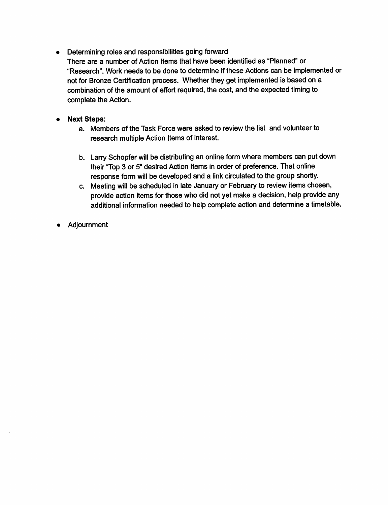Determining roles and responsibilities going forward

There are a number of Action Items that have been identified as " Planned" or Research". Work needs to be done to determine if these Actions can be implemented or not for Bronze Certification process. Whether they get implemented is based on a combination of the amount of effort required, the cost, and the expected timing to complete the Action.

#### Next Steps:  $\bullet$

- a. Members of the Task Force were asked to review the list and volunteer to research multiple Action Items of interest.
- b. Larry Schopfer will be distributing an online form where members can put down their "Top 3 or 5" desired Action Items in order of preference. That online response form will be developed and a link circulated to the group shortly.
- c. Meeting will be scheduled in late January or February to review items chosen, provide action items for those who did not yet make a decision, help provide any additional information needed to help complete action and determine a timetable.
- Adjournment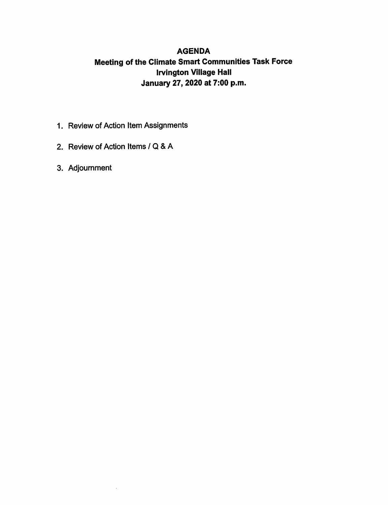#### AGENDA Meeting of the Climate Smart Communities Task Force Irvington Village Hall January 27, 2020 at 7:00 p.m.

- 1. Review of Action Item Assignments
- 2. Review of Action Items / Q & A
- 3. Adjournment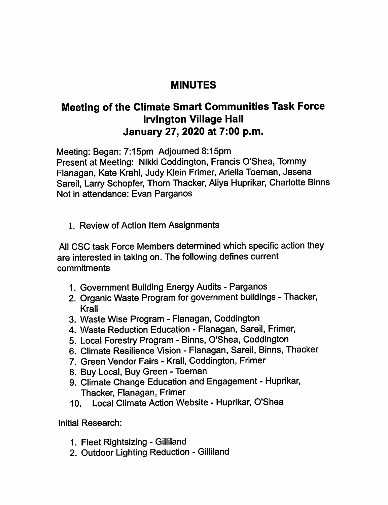## MINUTES

# Meeting of the Climate Smart Communities Task Force Irvington Village Hall January 27, 2020 at 7:00 p.m.

Meeting: Began: 7:15pm Adjourned 8:15pm

Present at Meeting: Nikki Coddington, Francis O'Shea, Tommy Flanagan, Kate Krahl, Judy Klein Frimer, Ariella Toeman, Jasena Sareil, Larry Schopfer, Thom Thacker, Aliya Huprikar, Charlotte Binns Not in attendance: Evan Parganos

1. Review of Action Item Assignments

All CSC task Force Members determined which specific action they are interested in taking on. The following defines current commitments

- 1. Government Building Energy Audits Parganos
- 2. Organic Waste Program for government buildings Thacker, Krall
- 3. Waste Wise Program Flanagan, Coddington
- 4. Waste Reduction Education Flanagan, Sareil, Frimer,
- 5. Local Forestry Program Binns, O'Shea, Coddington
- 6. Climate Resilience Vision Flanagan, Sareil, Binns, Thacker
- 7. Green Vendor Fairs Krall, Coddington, Frimer
- 8. Buy Local, Buy Green Toeman
- 9. Climate Change Education and Engagement Huprikar, Thacker, Flanagan, Frimer
- 10. Local Climate Action Website Huprikar, O'Shea

Initial Research:

- 1. Fleet Rightsizing Gilliland
- 2. Outdoor Lighting Reduction Gilliland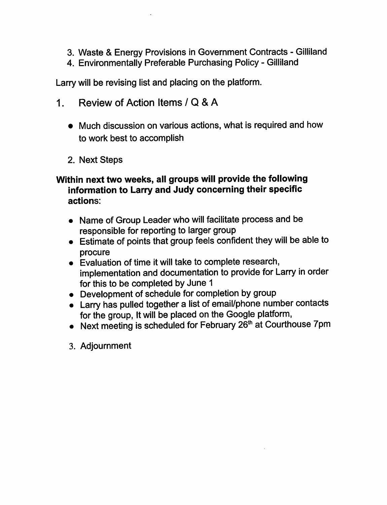- 3. Waste & Energy Provisions in Government Contracts Gilliland
- 4. Environmentally Preferable Purchasing Policy Gilliland

Larry will be revising list and placing on the platform.

- 1. Review of Action Items / Q & A
	- Much discussion on various actions, what is required and how to work best to accomplish
	- 2. Next Steps

## Within next two weeks, all groups will provide the following information to Larry and Judy concerning their specific actions:

- Name of Group Leader who will facilitate process and be responsible for reporting to larger group
- Estimate of points that group feels confident they will be able to procure
- Evaluation of time it will take to complete research, implementation and documentation to provide for Larry in order for this to be completed by June <sup>1</sup>
- Development of schedule for completion by group
- Larry has pulled together a list of email/phone number contacts for the group, It will be placed on the Google platform,
- $\bullet$  Next meeting is scheduled for February 2 $\bar{6}^{\text{th}}$  at Courthouse 7pm
- 3. Adjournment